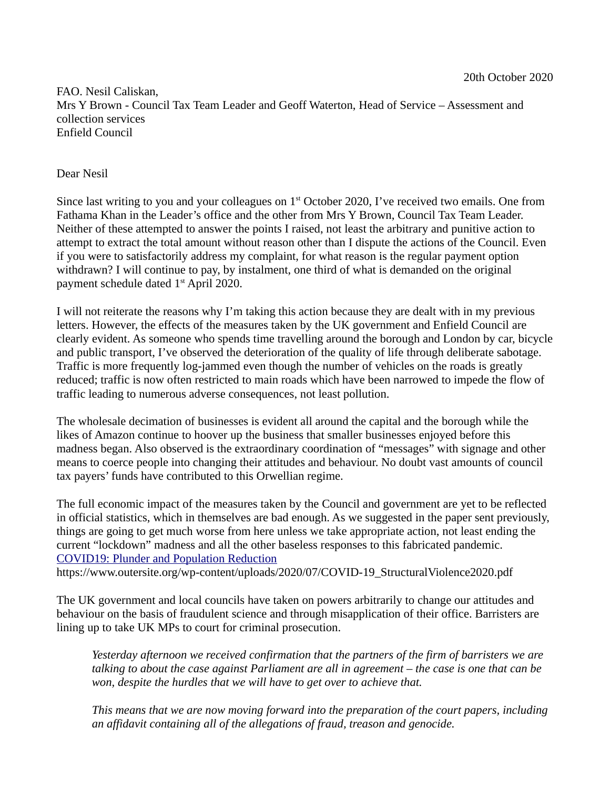FAO. Nesil Caliskan, Mrs Y Brown - Council Tax Team Leader and Geoff Waterton, Head of Service – Assessment and collection services Enfield Council

## Dear Nesil

Since last writing to you and your colleagues on  $1<sup>st</sup>$  October 2020, I've received two emails. One from Fathama Khan in the Leader's office and the other from Mrs Y Brown, Council Tax Team Leader. Neither of these attempted to answer the points I raised, not least the arbitrary and punitive action to attempt to extract the total amount without reason other than I dispute the actions of the Council. Even if you were to satisfactorily address my complaint, for what reason is the regular payment option withdrawn? I will continue to pay, by instalment, one third of what is demanded on the original payment schedule dated 1<sup>st</sup> April 2020.

I will not reiterate the reasons why I'm taking this action because they are dealt with in my previous letters. However, the effects of the measures taken by the UK government and Enfield Council are clearly evident. As someone who spends time travelling around the borough and London by car, bicycle and public transport, I've observed the deterioration of the quality of life through deliberate sabotage. Traffic is more frequently log-jammed even though the number of vehicles on the roads is greatly reduced; traffic is now often restricted to main roads which have been narrowed to impede the flow of traffic leading to numerous adverse consequences, not least pollution.

The wholesale decimation of businesses is evident all around the capital and the borough while the likes of Amazon continue to hoover up the business that smaller businesses enjoyed before this madness began. Also observed is the extraordinary coordination of "messages" with signage and other means to coerce people into changing their attitudes and behaviour. No doubt vast amounts of council tax payers' funds have contributed to this Orwellian regime.

The full economic impact of the measures taken by the Council and government are yet to be reflected in official statistics, which in themselves are bad enough. As we suggested in the paper sent previously, things are going to get much worse from here unless we take appropriate action, not least ending the current "lockdown" madness and all the other baseless responses to this fabricated pandemic. COVID19: Plunder and Population Reduction https://www.outersite.org/wp-content/uploads/2020/07/COVID-19\_StructuralViolence2020.pdf

The UK government and local councils have taken on powers arbitrarily to change our attitudes and behaviour on the basis of fraudulent science and through misapplication of their office. Barristers are lining up to take UK MPs to court for criminal prosecution.

*Yesterday afternoon we received confirmation that the partners of the firm of barristers we are talking to about the case against Parliament are all in agreement – the case is one that can be won, despite the hurdles that we will have to get over to achieve that.*

*This means that we are now moving forward into the preparation of the court papers, including an affidavit containing all of the allegations of fraud, treason and genocide.*